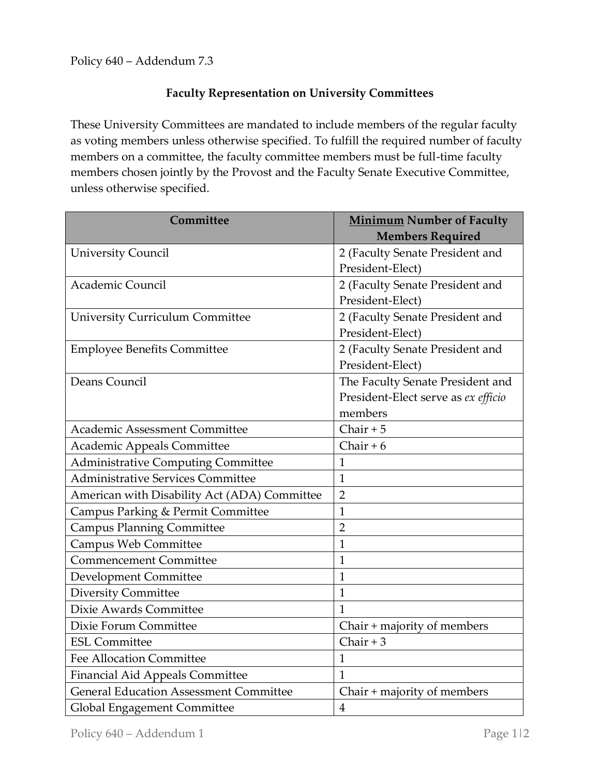## **Faculty Representation on University Committees**

These University Committees are mandated to include members of the regular faculty as voting members unless otherwise specified. To fulfill the required number of faculty members on a committee, the faculty committee members must be full-time faculty members chosen jointly by the Provost and the Faculty Senate Executive Committee, unless otherwise specified.

| Committee                                     | <b>Minimum Number of Faculty</b><br><b>Members Required</b> |
|-----------------------------------------------|-------------------------------------------------------------|
| <b>University Council</b>                     | 2 (Faculty Senate President and                             |
|                                               | President-Elect)                                            |
| Academic Council                              | 2 (Faculty Senate President and                             |
|                                               | President-Elect)                                            |
| <b>University Curriculum Committee</b>        | 2 (Faculty Senate President and                             |
|                                               | President-Elect)                                            |
| <b>Employee Benefits Committee</b>            | 2 (Faculty Senate President and                             |
|                                               | President-Elect)                                            |
| Deans Council                                 | The Faculty Senate President and                            |
|                                               | President-Elect serve as ex efficio                         |
|                                               | members                                                     |
| Academic Assessment Committee                 | Chair $+5$                                                  |
| Academic Appeals Committee                    | Chair + $6$                                                 |
| <b>Administrative Computing Committee</b>     | $\mathbf{1}$                                                |
| Administrative Services Committee             | 1                                                           |
| American with Disability Act (ADA) Committee  | $\overline{2}$                                              |
| Campus Parking & Permit Committee             | $\mathbf{1}$                                                |
| <b>Campus Planning Committee</b>              | $\overline{2}$                                              |
| Campus Web Committee                          | 1                                                           |
| <b>Commencement Committee</b>                 | $\mathbf{1}$                                                |
| Development Committee                         | $\mathbf{1}$                                                |
| <b>Diversity Committee</b>                    | $\mathbf{1}$                                                |
| Dixie Awards Committee                        | $\mathbf{1}$                                                |
| Dixie Forum Committee                         | Chair + majority of members                                 |
| <b>ESL Committee</b>                          | Chair $+3$                                                  |
| <b>Fee Allocation Committee</b>               | $\mathbf{1}$                                                |
| Financial Aid Appeals Committee               | $\mathbf{1}$                                                |
| <b>General Education Assessment Committee</b> | Chair + majority of members                                 |
| Global Engagement Committee                   | $\overline{4}$                                              |